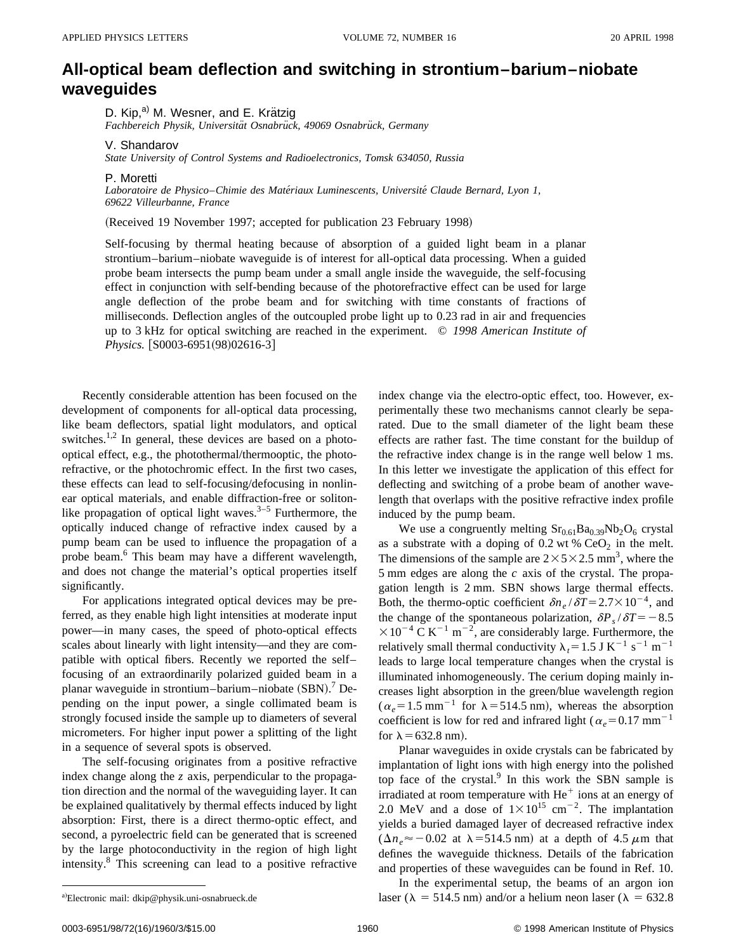## **All-optical beam deflection and switching in strontium–barium–niobate waveguides**

D. Kip,<sup>a)</sup> M. Wesner, and E. Krätzig

Fachbereich Physik, Universität Osnabrück, 49069 Osnabrück, Germany

V. Shandarov

*State University of Control Systems and Radioelectronics, Tomsk 634050, Russia*

P. Moretti

*Laboratoire de Physico*–*Chimie des Mate´riaux Luminescents, Universite´ Claude Bernard, Lyon 1, 69622 Villeurbanne, France*

(Received 19 November 1997; accepted for publication 23 February 1998)

Self-focusing by thermal heating because of absorption of a guided light beam in a planar strontium–barium–niobate waveguide is of interest for all-optical data processing. When a guided probe beam intersects the pump beam under a small angle inside the waveguide, the self-focusing effect in conjunction with self-bending because of the photorefractive effect can be used for large angle deflection of the probe beam and for switching with time constants of fractions of milliseconds. Deflection angles of the outcoupled probe light up to 0.23 rad in air and frequencies up to 3 kHz for optical switching are reached in the experiment. © *1998 American Institute of Physics.* [S0003-6951(98)02616-3]

Recently considerable attention has been focused on the development of components for all-optical data processing, like beam deflectors, spatial light modulators, and optical switches.<sup>1,2</sup> In general, these devices are based on a photooptical effect, e.g., the photothermal/thermooptic, the photorefractive, or the photochromic effect. In the first two cases, these effects can lead to self-focusing/defocusing in nonlinear optical materials, and enable diffraction-free or solitonlike propagation of optical light waves. $3-5$  Furthermore, the optically induced change of refractive index caused by a pump beam can be used to influence the propagation of a probe beam.6 This beam may have a different wavelength, and does not change the material's optical properties itself significantly.

For applications integrated optical devices may be preferred, as they enable high light intensities at moderate input power—in many cases, the speed of photo-optical effects scales about linearly with light intensity—and they are compatible with optical fibers. Recently we reported the self– focusing of an extraordinarily polarized guided beam in a planar waveguide in strontium-barium-niobate (SBN).<sup>7</sup> Depending on the input power, a single collimated beam is strongly focused inside the sample up to diameters of several micrometers. For higher input power a splitting of the light in a sequence of several spots is observed.

The self-focusing originates from a positive refractive index change along the *z* axis, perpendicular to the propagation direction and the normal of the waveguiding layer. It can be explained qualitatively by thermal effects induced by light absorption: First, there is a direct thermo-optic effect, and second, a pyroelectric field can be generated that is screened by the large photoconductivity in the region of high light intensity.8 This screening can lead to a positive refractive index change via the electro-optic effect, too. However, experimentally these two mechanisms cannot clearly be separated. Due to the small diameter of the light beam these effects are rather fast. The time constant for the buildup of the refractive index change is in the range well below 1 ms. In this letter we investigate the application of this effect for deflecting and switching of a probe beam of another wavelength that overlaps with the positive refractive index profile induced by the pump beam.

We use a congruently melting  $Sr<sub>0.61</sub>Ba<sub>0.39</sub>Nb<sub>2</sub>O<sub>6</sub>$  crystal as a substrate with a doping of 0.2 wt %  $CeO<sub>2</sub>$  in the melt. The dimensions of the sample are  $2\times5\times2.5$  mm<sup>3</sup>, where the 5 mm edges are along the *c* axis of the crystal. The propagation length is 2 mm. SBN shows large thermal effects. Both, the thermo-optic coefficient  $\delta n_e / \delta T = 2.7 \times 10^{-4}$ , and the change of the spontaneous polarization,  $\delta P_s / \delta T = -8.5$  $\times 10^{-4}$  C K<sup>-1</sup> m<sup>-2</sup>, are considerably large. Furthermore, the relatively small thermal conductivity  $\lambda_t = 1.5$  J K<sup>-1</sup> s<sup>-1</sup> m<sup>-1</sup> leads to large local temperature changes when the crystal is illuminated inhomogeneously. The cerium doping mainly increases light absorption in the green/blue wavelength region  $(\alpha_e=1.5 \text{ mm}^{-1}$  for  $\lambda=514.5 \text{ nm}$ ), whereas the absorption coefficient is low for red and infrared light ( $\alpha_e$ =0.17 mm<sup>-1</sup> for  $\lambda$  = 632.8 nm).

Planar waveguides in oxide crystals can be fabricated by implantation of light ions with high energy into the polished top face of the crystal. $9$  In this work the SBN sample is irradiated at room temperature with  $He<sup>+</sup>$  ions at an energy of 2.0 MeV and a dose of  $1 \times 10^{15}$  cm<sup>-2</sup>. The implantation yields a buried damaged layer of decreased refractive index  $(\Delta n_e \approx -0.02$  at  $\lambda = 514.5$  nm) at a depth of 4.5  $\mu$ m that defines the waveguide thickness. Details of the fabrication and properties of these waveguides can be found in Ref. 10.

In the experimental setup, the beams of an argon ion laser ( $\lambda = 514.5$  nm) and/or a helium neon laser ( $\lambda = 632.8$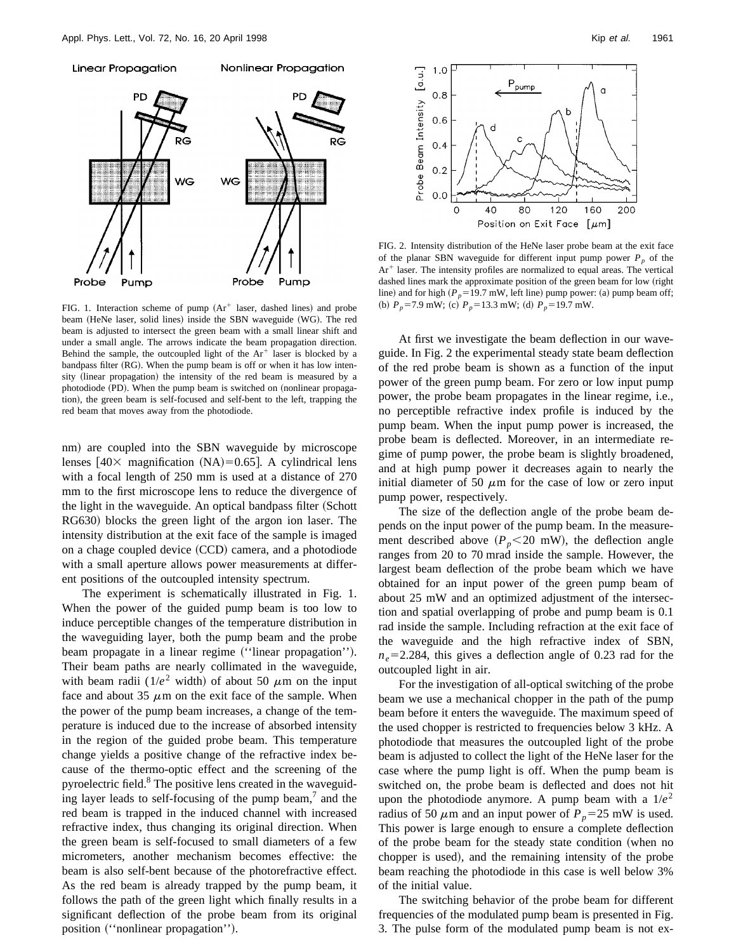

FIG. 1. Interaction scheme of pump  $(Ar^+)$  laser, dashed lines) and probe beam (HeNe laser, solid lines) inside the SBN waveguide (WG). The red beam is adjusted to intersect the green beam with a small linear shift and under a small angle. The arrows indicate the beam propagation direction. Behind the sample, the outcoupled light of the  $Ar^+$  laser is blocked by a bandpass filter  $(RG)$ . When the pump beam is off or when it has low intensity (linear propagation) the intensity of the red beam is measured by a photodiode (PD). When the pump beam is switched on (nonlinear propagation), the green beam is self-focused and self-bent to the left, trapping the red beam that moves away from the photodiode.

nm) are coupled into the SBN waveguide by microscope lenses  $[40 \times$  magnification  $(NA)=0.65$ . A cylindrical lens with a focal length of 250 mm is used at a distance of 270 mm to the first microscope lens to reduce the divergence of the light in the waveguide. An optical bandpass filter (Schott RG630) blocks the green light of the argon ion laser. The intensity distribution at the exit face of the sample is imaged on a chage coupled device (CCD) camera, and a photodiode with a small aperture allows power measurements at different positions of the outcoupled intensity spectrum.

The experiment is schematically illustrated in Fig. 1. When the power of the guided pump beam is too low to induce perceptible changes of the temperature distribution in the waveguiding layer, both the pump beam and the probe beam propagate in a linear regime ("linear propagation"). Their beam paths are nearly collimated in the waveguide, with beam radii ( $1/e^2$  width) of about 50  $\mu$ m on the input face and about 35  $\mu$ m on the exit face of the sample. When the power of the pump beam increases, a change of the temperature is induced due to the increase of absorbed intensity in the region of the guided probe beam. This temperature change yields a positive change of the refractive index because of the thermo-optic effect and the screening of the pyroelectric field.<sup>8</sup> The positive lens created in the waveguiding layer leads to self-focusing of the pump beam, $\alpha$  and the red beam is trapped in the induced channel with increased refractive index, thus changing its original direction. When the green beam is self-focused to small diameters of a few micrometers, another mechanism becomes effective: the beam is also self-bent because of the photorefractive effect. As the red beam is already trapped by the pump beam, it follows the path of the green light which finally results in a significant deflection of the probe beam from its original position ("nonlinear propagation").



FIG. 2. Intensity distribution of the HeNe laser probe beam at the exit face of the planar SBN waveguide for different input pump power  $P_p$  of the  $Ar<sup>+</sup>$  laser. The intensity profiles are normalized to equal areas. The vertical dashed lines mark the approximate position of the green beam for low (right line) and for high  $(P_p=19.7 \text{ mW}$ , left line) pump power: (a) pump beam off; (b)  $P_p = 7.9$  mW; (c)  $P_p = 13.3$  mW; (d)  $P_p = 19.7$  mW.

At first we investigate the beam deflection in our waveguide. In Fig. 2 the experimental steady state beam deflection of the red probe beam is shown as a function of the input power of the green pump beam. For zero or low input pump power, the probe beam propagates in the linear regime, i.e., no perceptible refractive index profile is induced by the pump beam. When the input pump power is increased, the probe beam is deflected. Moreover, in an intermediate regime of pump power, the probe beam is slightly broadened, and at high pump power it decreases again to nearly the initial diameter of 50  $\mu$ m for the case of low or zero input pump power, respectively.

The size of the deflection angle of the probe beam depends on the input power of the pump beam. In the measurement described above  $(P_p < 20$  mW), the deflection angle ranges from 20 to 70 mrad inside the sample. However, the largest beam deflection of the probe beam which we have obtained for an input power of the green pump beam of about 25 mW and an optimized adjustment of the intersection and spatial overlapping of probe and pump beam is 0.1 rad inside the sample. Including refraction at the exit face of the waveguide and the high refractive index of SBN,  $n_e$ =2.284, this gives a deflection angle of 0.23 rad for the outcoupled light in air.

For the investigation of all-optical switching of the probe beam we use a mechanical chopper in the path of the pump beam before it enters the waveguide. The maximum speed of the used chopper is restricted to frequencies below 3 kHz. A photodiode that measures the outcoupled light of the probe beam is adjusted to collect the light of the HeNe laser for the case where the pump light is off. When the pump beam is switched on, the probe beam is deflected and does not hit upon the photodiode anymore. A pump beam with a  $1/e^2$ radius of 50  $\mu$ m and an input power of  $P_p$ =25 mW is used. This power is large enough to ensure a complete deflection of the probe beam for the steady state condition (when no chopper is used), and the remaining intensity of the probe beam reaching the photodiode in this case is well below 3% of the initial value.

The switching behavior of the probe beam for different frequencies of the modulated pump beam is presented in Fig. 3. The pulse form of the modulated pump beam is not ex-